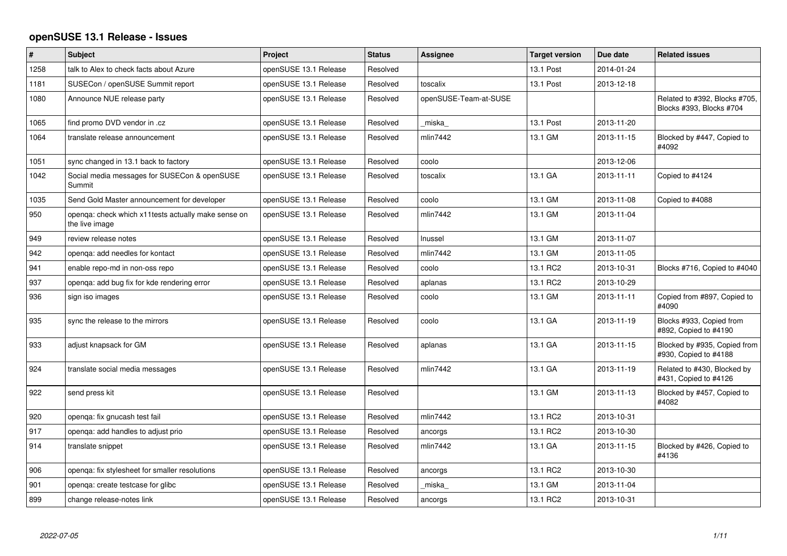## **openSUSE 13.1 Release - Issues**

| $\pmb{\#}$ | <b>Subject</b>                                                        | Project               | <b>Status</b> | Assignee              | <b>Target version</b> | Due date   | <b>Related issues</b>                                     |
|------------|-----------------------------------------------------------------------|-----------------------|---------------|-----------------------|-----------------------|------------|-----------------------------------------------------------|
| 1258       | talk to Alex to check facts about Azure                               | openSUSE 13.1 Release | Resolved      |                       | 13.1 Post             | 2014-01-24 |                                                           |
| 1181       | SUSECon / openSUSE Summit report                                      | openSUSE 13.1 Release | Resolved      | toscalix              | 13.1 Post             | 2013-12-18 |                                                           |
| 1080       | Announce NUE release party                                            | openSUSE 13.1 Release | Resolved      | openSUSE-Team-at-SUSE |                       |            | Related to #392, Blocks #705,<br>Blocks #393, Blocks #704 |
| 1065       | find promo DVD vendor in .cz                                          | openSUSE 13.1 Release | Resolved      | miska                 | 13.1 Post             | 2013-11-20 |                                                           |
| 1064       | translate release announcement                                        | openSUSE 13.1 Release | Resolved      | mlin7442              | 13.1 GM               | 2013-11-15 | Blocked by #447, Copied to<br>#4092                       |
| 1051       | sync changed in 13.1 back to factory                                  | openSUSE 13.1 Release | Resolved      | coolo                 |                       | 2013-12-06 |                                                           |
| 1042       | Social media messages for SUSECon & openSUSE<br>Summit                | openSUSE 13.1 Release | Resolved      | toscalix              | 13.1 GA               | 2013-11-11 | Copied to #4124                                           |
| 1035       | Send Gold Master announcement for developer                           | openSUSE 13.1 Release | Resolved      | coolo                 | 13.1 GM               | 2013-11-08 | Copied to #4088                                           |
| 950        | openqa: check which x11tests actually make sense on<br>the live image | openSUSE 13.1 Release | Resolved      | mlin7442              | 13.1 GM               | 2013-11-04 |                                                           |
| 949        | review release notes                                                  | openSUSE 13.1 Release | Resolved      | Inussel               | 13.1 GM               | 2013-11-07 |                                                           |
| 942        | openga: add needles for kontact                                       | openSUSE 13.1 Release | Resolved      | mlin7442              | 13.1 GM               | 2013-11-05 |                                                           |
| 941        | enable repo-md in non-oss repo                                        | openSUSE 13.1 Release | Resolved      | coolo                 | 13.1 RC2              | 2013-10-31 | Blocks #716, Copied to #4040                              |
| 937        | openga: add bug fix for kde rendering error                           | openSUSE 13.1 Release | Resolved      | aplanas               | 13.1 RC2              | 2013-10-29 |                                                           |
| 936        | sign iso images                                                       | openSUSE 13.1 Release | Resolved      | coolo                 | 13.1 GM               | 2013-11-11 | Copied from #897, Copied to<br>#4090                      |
| 935        | sync the release to the mirrors                                       | openSUSE 13.1 Release | Resolved      | coolo                 | 13.1 GA               | 2013-11-19 | Blocks #933, Copied from<br>#892, Copied to #4190         |
| 933        | adjust knapsack for GM                                                | openSUSE 13.1 Release | Resolved      | aplanas               | 13.1 GA               | 2013-11-15 | Blocked by #935, Copied from<br>#930, Copied to #4188     |
| 924        | translate social media messages                                       | openSUSE 13.1 Release | Resolved      | mlin7442              | 13.1 GA               | 2013-11-19 | Related to #430, Blocked by<br>#431, Copied to #4126      |
| 922        | send press kit                                                        | openSUSE 13.1 Release | Resolved      |                       | 13.1 GM               | 2013-11-13 | Blocked by #457, Copied to<br>#4082                       |
| 920        | openga: fix gnucash test fail                                         | openSUSE 13.1 Release | Resolved      | mlin7442              | 13.1 RC2              | 2013-10-31 |                                                           |
| 917        | openga: add handles to adjust prio                                    | openSUSE 13.1 Release | Resolved      | ancorgs               | 13.1 RC2              | 2013-10-30 |                                                           |
| 914        | translate snippet                                                     | openSUSE 13.1 Release | Resolved      | mlin7442              | 13.1 GA               | 2013-11-15 | Blocked by #426, Copied to<br>#4136                       |
| 906        | openga: fix stylesheet for smaller resolutions                        | openSUSE 13.1 Release | Resolved      | ancorgs               | 13.1 RC2              | 2013-10-30 |                                                           |
| 901        | openga: create testcase for glibc                                     | openSUSE 13.1 Release | Resolved      | miska                 | 13.1 GM               | 2013-11-04 |                                                           |
| 899        | change release-notes link                                             | openSUSE 13.1 Release | Resolved      | ancorgs               | 13.1 RC2              | 2013-10-31 |                                                           |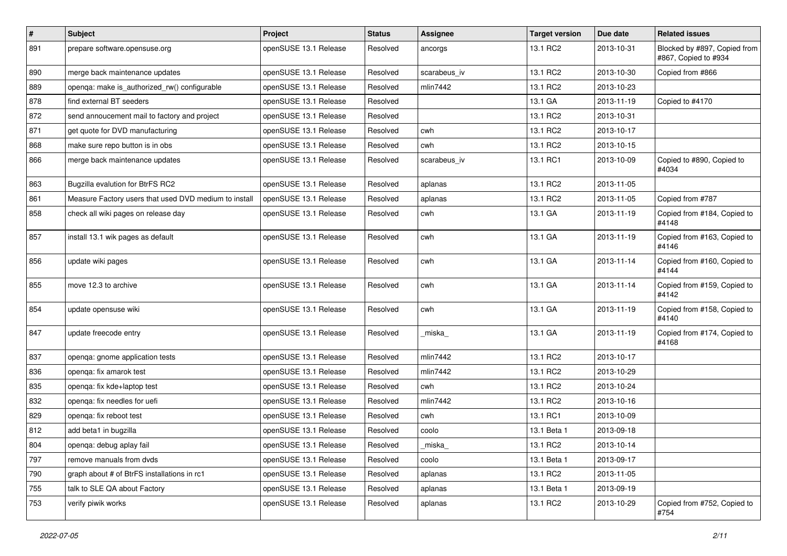| $\sharp$ | <b>Subject</b>                                        | Project               | <b>Status</b> | Assignee     | <b>Target version</b> | Due date   | <b>Related issues</b>                                |
|----------|-------------------------------------------------------|-----------------------|---------------|--------------|-----------------------|------------|------------------------------------------------------|
| 891      | prepare software.opensuse.org                         | openSUSE 13.1 Release | Resolved      | ancorgs      | 13.1 RC2              | 2013-10-31 | Blocked by #897, Copied from<br>#867, Copied to #934 |
| 890      | merge back maintenance updates                        | openSUSE 13.1 Release | Resolved      | scarabeus_iv | 13.1 RC2              | 2013-10-30 | Copied from #866                                     |
| 889      | openqa: make is_authorized_rw() configurable          | openSUSE 13.1 Release | Resolved      | mlin7442     | 13.1 RC2              | 2013-10-23 |                                                      |
| 878      | find external BT seeders                              | openSUSE 13.1 Release | Resolved      |              | 13.1 GA               | 2013-11-19 | Copied to #4170                                      |
| 872      | send annoucement mail to factory and project          | openSUSE 13.1 Release | Resolved      |              | 13.1 RC2              | 2013-10-31 |                                                      |
| 871      | get quote for DVD manufacturing                       | openSUSE 13.1 Release | Resolved      | cwh          | 13.1 RC2              | 2013-10-17 |                                                      |
| 868      | make sure repo button is in obs                       | openSUSE 13.1 Release | Resolved      | cwh          | 13.1 RC2              | 2013-10-15 |                                                      |
| 866      | merge back maintenance updates                        | openSUSE 13.1 Release | Resolved      | scarabeus iv | 13.1 RC1              | 2013-10-09 | Copied to #890, Copied to<br>#4034                   |
| 863      | Bugzilla evalution for BtrFS RC2                      | openSUSE 13.1 Release | Resolved      | aplanas      | 13.1 RC2              | 2013-11-05 |                                                      |
| 861      | Measure Factory users that used DVD medium to install | openSUSE 13.1 Release | Resolved      | aplanas      | 13.1 RC2              | 2013-11-05 | Copied from #787                                     |
| 858      | check all wiki pages on release day                   | openSUSE 13.1 Release | Resolved      | cwh          | 13.1 GA               | 2013-11-19 | Copied from #184, Copied to<br>#4148                 |
| 857      | install 13.1 wik pages as default                     | openSUSE 13.1 Release | Resolved      | cwh          | 13.1 GA               | 2013-11-19 | Copied from #163, Copied to<br>#4146                 |
| 856      | update wiki pages                                     | openSUSE 13.1 Release | Resolved      | cwh          | 13.1 GA               | 2013-11-14 | Copied from #160, Copied to<br>#4144                 |
| 855      | move 12.3 to archive                                  | openSUSE 13.1 Release | Resolved      | cwh          | 13.1 GA               | 2013-11-14 | Copied from #159, Copied to<br>#4142                 |
| 854      | update opensuse wiki                                  | openSUSE 13.1 Release | Resolved      | cwh          | 13.1 GA               | 2013-11-19 | Copied from #158, Copied to<br>#4140                 |
| 847      | update freecode entry                                 | openSUSE 13.1 Release | Resolved      | miska        | 13.1 GA               | 2013-11-19 | Copied from #174, Copied to<br>#4168                 |
| 837      | openqa: gnome application tests                       | openSUSE 13.1 Release | Resolved      | mlin7442     | 13.1 RC2              | 2013-10-17 |                                                      |
| 836      | openqa: fix amarok test                               | openSUSE 13.1 Release | Resolved      | mlin7442     | 13.1 RC2              | 2013-10-29 |                                                      |
| 835      | openga: fix kde+laptop test                           | openSUSE 13.1 Release | Resolved      | cwh          | 13.1 RC2              | 2013-10-24 |                                                      |
| 832      | openqa: fix needles for uefi                          | openSUSE 13.1 Release | Resolved      | mlin7442     | 13.1 RC2              | 2013-10-16 |                                                      |
| 829      | openqa: fix reboot test                               | openSUSE 13.1 Release | Resolved      | cwh          | 13.1 RC1              | 2013-10-09 |                                                      |
| 812      | add beta1 in bugzilla                                 | openSUSE 13.1 Release | Resolved      | coolo        | 13.1 Beta 1           | 2013-09-18 |                                                      |
| 804      | openqa: debug aplay fail                              | openSUSE 13.1 Release | Resolved      | _miska_      | 13.1 RC2              | 2013-10-14 |                                                      |
| 797      | remove manuals from dvds                              | openSUSE 13.1 Release | Resolved      | coolo        | 13.1 Beta 1           | 2013-09-17 |                                                      |
| 790      | graph about # of BtrFS installations in rc1           | openSUSE 13.1 Release | Resolved      | aplanas      | 13.1 RC2              | 2013-11-05 |                                                      |
| 755      | talk to SLE QA about Factory                          | openSUSE 13.1 Release | Resolved      | aplanas      | 13.1 Beta 1           | 2013-09-19 |                                                      |
| 753      | verify piwik works                                    | openSUSE 13.1 Release | Resolved      | aplanas      | 13.1 RC2              | 2013-10-29 | Copied from #752, Copied to<br>#754                  |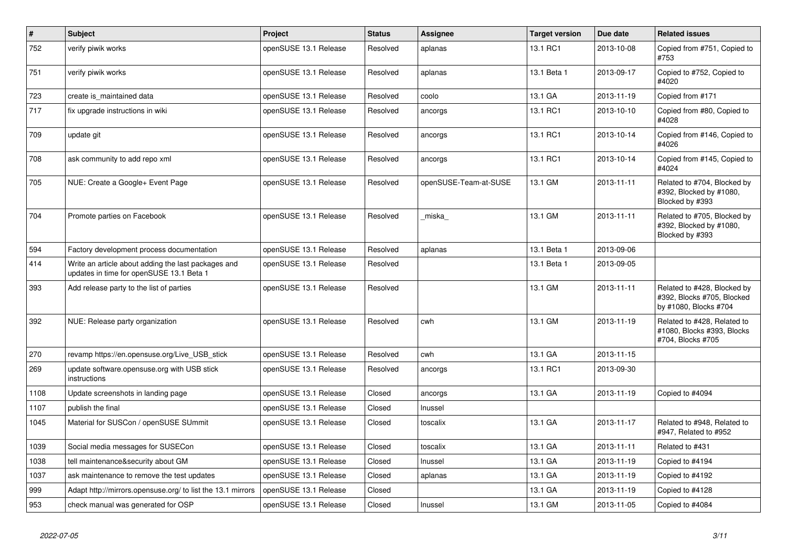| $\#$ | <b>Subject</b>                                                                                  | Project               | <b>Status</b> | Assignee              | <b>Target version</b> | Due date   | <b>Related issues</b>                                                              |
|------|-------------------------------------------------------------------------------------------------|-----------------------|---------------|-----------------------|-----------------------|------------|------------------------------------------------------------------------------------|
| 752  | verify piwik works                                                                              | openSUSE 13.1 Release | Resolved      | aplanas               | 13.1 RC1              | 2013-10-08 | Copied from #751, Copied to<br>#753                                                |
| 751  | verify piwik works                                                                              | openSUSE 13.1 Release | Resolved      | aplanas               | 13.1 Beta 1           | 2013-09-17 | Copied to #752, Copied to<br>#4020                                                 |
| 723  | create is maintained data                                                                       | openSUSE 13.1 Release | Resolved      | coolo                 | 13.1 GA               | 2013-11-19 | Copied from #171                                                                   |
| 717  | fix upgrade instructions in wiki                                                                | openSUSE 13.1 Release | Resolved      | ancorgs               | 13.1 RC1              | 2013-10-10 | Copied from #80, Copied to<br>#4028                                                |
| 709  | update git                                                                                      | openSUSE 13.1 Release | Resolved      | ancorgs               | 13.1 RC1              | 2013-10-14 | Copied from #146, Copied to<br>#4026                                               |
| 708  | ask community to add repo xml                                                                   | openSUSE 13.1 Release | Resolved      | ancorgs               | 13.1 RC1              | 2013-10-14 | Copied from #145, Copied to<br>#4024                                               |
| 705  | NUE: Create a Google+ Event Page                                                                | openSUSE 13.1 Release | Resolved      | openSUSE-Team-at-SUSE | 13.1 GM               | 2013-11-11 | Related to #704, Blocked by<br>#392, Blocked by #1080,<br>Blocked by #393          |
| 704  | Promote parties on Facebook                                                                     | openSUSE 13.1 Release | Resolved      | miska                 | 13.1 GM               | 2013-11-11 | Related to #705, Blocked by<br>#392, Blocked by #1080,<br>Blocked by #393          |
| 594  | Factory development process documentation                                                       | openSUSE 13.1 Release | Resolved      | aplanas               | 13.1 Beta 1           | 2013-09-06 |                                                                                    |
| 414  | Write an article about adding the last packages and<br>updates in time for openSUSE 13.1 Beta 1 | openSUSE 13.1 Release | Resolved      |                       | 13.1 Beta 1           | 2013-09-05 |                                                                                    |
| 393  | Add release party to the list of parties                                                        | openSUSE 13.1 Release | Resolved      |                       | 13.1 GM               | 2013-11-11 | Related to #428, Blocked by<br>#392, Blocks #705, Blocked<br>by #1080, Blocks #704 |
| 392  | NUE: Release party organization                                                                 | openSUSE 13.1 Release | Resolved      | cwh                   | 13.1 GM               | 2013-11-19 | Related to #428, Related to<br>#1080, Blocks #393, Blocks<br>#704, Blocks #705     |
| 270  | revamp https://en.opensuse.org/Live USB stick                                                   | openSUSE 13.1 Release | Resolved      | cwh                   | 13.1 GA               | 2013-11-15 |                                                                                    |
| 269  | update software.opensuse.org with USB stick<br>instructions                                     | openSUSE 13.1 Release | Resolved      | ancorgs               | 13.1 RC1              | 2013-09-30 |                                                                                    |
| 1108 | Update screenshots in landing page                                                              | openSUSE 13.1 Release | Closed        | ancorgs               | 13.1 GA               | 2013-11-19 | Copied to #4094                                                                    |
| 1107 | publish the final                                                                               | openSUSE 13.1 Release | Closed        | Inussel               |                       |            |                                                                                    |
| 1045 | Material for SUSCon / openSUSE SUmmit                                                           | openSUSE 13.1 Release | Closed        | toscalix              | 13.1 GA               | 2013-11-17 | Related to #948, Related to<br>#947, Related to #952                               |
| 1039 | Social media messages for SUSECon                                                               | openSUSE 13.1 Release | Closed        | toscalix              | 13.1 GA               | 2013-11-11 | Related to #431                                                                    |
| 1038 | tell maintenance&security about GM                                                              | openSUSE 13.1 Release | Closed        | Inussel               | 13.1 GA               | 2013-11-19 | Copied to #4194                                                                    |
| 1037 | ask maintenance to remove the test updates                                                      | openSUSE 13.1 Release | Closed        | aplanas               | 13.1 GA               | 2013-11-19 | Copied to #4192                                                                    |
| 999  | Adapt http://mirrors.opensuse.org/ to list the 13.1 mirrors                                     | openSUSE 13.1 Release | Closed        |                       | 13.1 GA               | 2013-11-19 | Copied to #4128                                                                    |
| 953  | check manual was generated for OSP                                                              | openSUSE 13.1 Release | Closed        | Inussel               | 13.1 GM               | 2013-11-05 | Copied to #4084                                                                    |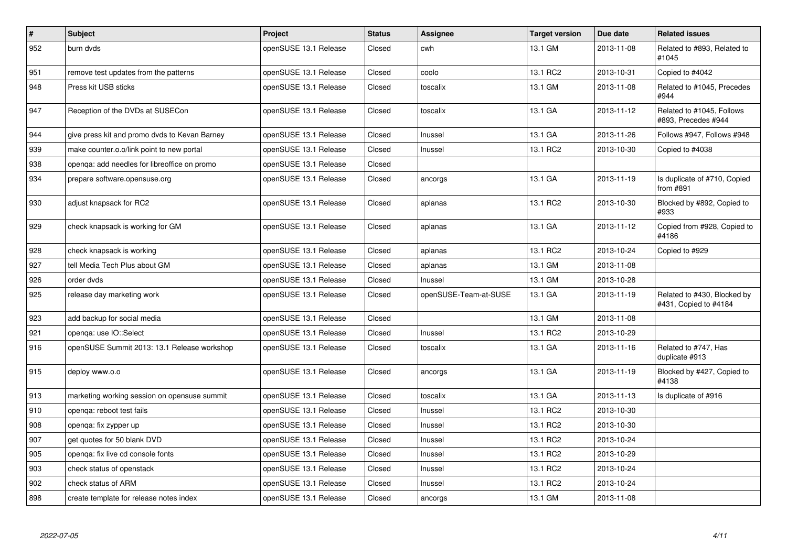| #   | <b>Subject</b>                                | Project               | <b>Status</b> | <b>Assignee</b>       | <b>Target version</b> | Due date   | <b>Related issues</b>                                |
|-----|-----------------------------------------------|-----------------------|---------------|-----------------------|-----------------------|------------|------------------------------------------------------|
| 952 | burn dvds                                     | openSUSE 13.1 Release | Closed        | cwh                   | 13.1 GM               | 2013-11-08 | Related to #893, Related to<br>#1045                 |
| 951 | remove test updates from the patterns         | openSUSE 13.1 Release | Closed        | coolo                 | 13.1 RC2              | 2013-10-31 | Copied to #4042                                      |
| 948 | Press kit USB sticks                          | openSUSE 13.1 Release | Closed        | toscalix              | 13.1 GM               | 2013-11-08 | Related to #1045, Precedes<br>#944                   |
| 947 | Reception of the DVDs at SUSECon              | openSUSE 13.1 Release | Closed        | toscalix              | 13.1 GA               | 2013-11-12 | Related to #1045, Follows<br>#893, Precedes #944     |
| 944 | give press kit and promo dvds to Kevan Barney | openSUSE 13.1 Release | Closed        | Inussel               | 13.1 GA               | 2013-11-26 | Follows #947, Follows #948                           |
| 939 | make counter.o.o/link point to new portal     | openSUSE 13.1 Release | Closed        | Inussel               | 13.1 RC2              | 2013-10-30 | Copied to #4038                                      |
| 938 | openga: add needles for libreoffice on promo  | openSUSE 13.1 Release | Closed        |                       |                       |            |                                                      |
| 934 | prepare software.opensuse.org                 | openSUSE 13.1 Release | Closed        | ancorgs               | 13.1 GA               | 2013-11-19 | Is duplicate of #710, Copied<br>from #891            |
| 930 | adjust knapsack for RC2                       | openSUSE 13.1 Release | Closed        | aplanas               | 13.1 RC2              | 2013-10-30 | Blocked by #892, Copied to<br>#933                   |
| 929 | check knapsack is working for GM              | openSUSE 13.1 Release | Closed        | aplanas               | 13.1 GA               | 2013-11-12 | Copied from #928, Copied to<br>#4186                 |
| 928 | check knapsack is working                     | openSUSE 13.1 Release | Closed        | aplanas               | 13.1 RC2              | 2013-10-24 | Copied to #929                                       |
| 927 | tell Media Tech Plus about GM                 | openSUSE 13.1 Release | Closed        | aplanas               | 13.1 GM               | 2013-11-08 |                                                      |
| 926 | order dvds                                    | openSUSE 13.1 Release | Closed        | Inussel               | 13.1 GM               | 2013-10-28 |                                                      |
| 925 | release day marketing work                    | openSUSE 13.1 Release | Closed        | openSUSE-Team-at-SUSE | 13.1 GA               | 2013-11-19 | Related to #430, Blocked by<br>#431, Copied to #4184 |
| 923 | add backup for social media                   | openSUSE 13.1 Release | Closed        |                       | 13.1 GM               | 2013-11-08 |                                                      |
| 921 | openga: use IO::Select                        | openSUSE 13.1 Release | Closed        | Inussel               | 13.1 RC2              | 2013-10-29 |                                                      |
| 916 | openSUSE Summit 2013: 13.1 Release workshop   | openSUSE 13.1 Release | Closed        | toscalix              | 13.1 GA               | 2013-11-16 | Related to #747, Has<br>duplicate #913               |
| 915 | deploy www.o.o                                | openSUSE 13.1 Release | Closed        | ancorgs               | 13.1 GA               | 2013-11-19 | Blocked by #427, Copied to<br>#4138                  |
| 913 | marketing working session on opensuse summit  | openSUSE 13.1 Release | Closed        | toscalix              | 13.1 GA               | 2013-11-13 | Is duplicate of #916                                 |
| 910 | openga: reboot test fails                     | openSUSE 13.1 Release | Closed        | Inussel               | 13.1 RC2              | 2013-10-30 |                                                      |
| 908 | openga: fix zypper up                         | openSUSE 13.1 Release | Closed        | Inussel               | 13.1 RC2              | 2013-10-30 |                                                      |
| 907 | get quotes for 50 blank DVD                   | openSUSE 13.1 Release | Closed        | Inussel               | 13.1 RC2              | 2013-10-24 |                                                      |
| 905 | openga: fix live cd console fonts             | openSUSE 13.1 Release | Closed        | Inussel               | 13.1 RC2              | 2013-10-29 |                                                      |
| 903 | check status of openstack                     | openSUSE 13.1 Release | Closed        | Inussel               | 13.1 RC2              | 2013-10-24 |                                                      |
| 902 | check status of ARM                           | openSUSE 13.1 Release | Closed        | Inussel               | 13.1 RC2              | 2013-10-24 |                                                      |
| 898 | create template for release notes index       | openSUSE 13.1 Release | Closed        | ancorgs               | 13.1 GM               | 2013-11-08 |                                                      |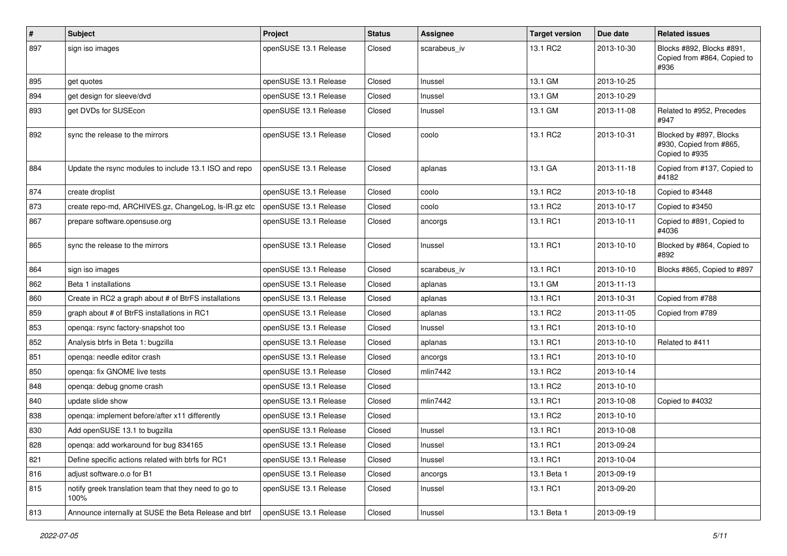| #   | <b>Subject</b>                                                | Project               | <b>Status</b> | Assignee     | <b>Target version</b> | Due date   | <b>Related issues</b>                                                |
|-----|---------------------------------------------------------------|-----------------------|---------------|--------------|-----------------------|------------|----------------------------------------------------------------------|
| 897 | sign iso images                                               | openSUSE 13.1 Release | Closed        | scarabeus_iv | 13.1 RC2              | 2013-10-30 | Blocks #892, Blocks #891,<br>Copied from #864, Copied to<br>#936     |
| 895 | get quotes                                                    | openSUSE 13.1 Release | Closed        | Inussel      | 13.1 GM               | 2013-10-25 |                                                                      |
| 894 | get design for sleeve/dvd                                     | openSUSE 13.1 Release | Closed        | Inussel      | 13.1 GM               | 2013-10-29 |                                                                      |
| 893 | get DVDs for SUSEcon                                          | openSUSE 13.1 Release | Closed        | Inussel      | 13.1 GM               | 2013-11-08 | Related to #952, Precedes<br>#947                                    |
| 892 | sync the release to the mirrors                               | openSUSE 13.1 Release | Closed        | coolo        | 13.1 RC2              | 2013-10-31 | Blocked by #897, Blocks<br>#930, Copied from #865,<br>Copied to #935 |
| 884 | Update the rsync modules to include 13.1 ISO and repo         | openSUSE 13.1 Release | Closed        | aplanas      | 13.1 GA               | 2013-11-18 | Copied from #137, Copied to<br>#4182                                 |
| 874 | create droplist                                               | openSUSE 13.1 Release | Closed        | coolo        | 13.1 RC2              | 2013-10-18 | Copied to #3448                                                      |
| 873 | create repo-md, ARCHIVES.gz, ChangeLog, Is-IR.gz etc          | openSUSE 13.1 Release | Closed        | coolo        | 13.1 RC2              | 2013-10-17 | Copied to #3450                                                      |
| 867 | prepare software.opensuse.org                                 | openSUSE 13.1 Release | Closed        | ancorgs      | 13.1 RC1              | 2013-10-11 | Copied to #891, Copied to<br>#4036                                   |
| 865 | sync the release to the mirrors                               | openSUSE 13.1 Release | Closed        | Inussel      | 13.1 RC1              | 2013-10-10 | Blocked by #864, Copied to<br>#892                                   |
| 864 | sign iso images                                               | openSUSE 13.1 Release | Closed        | scarabeus iv | 13.1 RC1              | 2013-10-10 | Blocks #865, Copied to #897                                          |
| 862 | Beta 1 installations                                          | openSUSE 13.1 Release | Closed        | aplanas      | 13.1 GM               | 2013-11-13 |                                                                      |
| 860 | Create in RC2 a graph about # of BtrFS installations          | openSUSE 13.1 Release | Closed        | aplanas      | 13.1 RC1              | 2013-10-31 | Copied from #788                                                     |
| 859 | graph about # of BtrFS installations in RC1                   | openSUSE 13.1 Release | Closed        | aplanas      | 13.1 RC2              | 2013-11-05 | Copied from #789                                                     |
| 853 | openqa: rsync factory-snapshot too                            | openSUSE 13.1 Release | Closed        | Inussel      | 13.1 RC1              | 2013-10-10 |                                                                      |
| 852 | Analysis btrfs in Beta 1: bugzilla                            | openSUSE 13.1 Release | Closed        | aplanas      | 13.1 RC1              | 2013-10-10 | Related to #411                                                      |
| 851 | openga: needle editor crash                                   | openSUSE 13.1 Release | Closed        | ancorgs      | 13.1 RC1              | 2013-10-10 |                                                                      |
| 850 | openga: fix GNOME live tests                                  | openSUSE 13.1 Release | Closed        | mlin7442     | 13.1 RC2              | 2013-10-14 |                                                                      |
| 848 | openqa: debug gnome crash                                     | openSUSE 13.1 Release | Closed        |              | 13.1 RC2              | 2013-10-10 |                                                                      |
| 840 | update slide show                                             | openSUSE 13.1 Release | Closed        | mlin7442     | 13.1 RC1              | 2013-10-08 | Copied to #4032                                                      |
| 838 | openqa: implement before/after x11 differently                | openSUSE 13.1 Release | Closed        |              | 13.1 RC2              | 2013-10-10 |                                                                      |
| 830 | Add openSUSE 13.1 to bugzilla                                 | openSUSE 13.1 Release | Closed        | Inussel      | 13.1 RC1              | 2013-10-08 |                                                                      |
| 828 | openqa: add workaround for bug 834165                         | openSUSE 13.1 Release | Closed        | Inussel      | 13.1 RC1              | 2013-09-24 |                                                                      |
| 821 | Define specific actions related with btrfs for RC1            | openSUSE 13.1 Release | Closed        | Inussel      | 13.1 RC1              | 2013-10-04 |                                                                      |
| 816 | adjust software.o.o for B1                                    | openSUSE 13.1 Release | Closed        | ancorgs      | 13.1 Beta 1           | 2013-09-19 |                                                                      |
| 815 | notify greek translation team that they need to go to<br>100% | openSUSE 13.1 Release | Closed        | Inussel      | 13.1 RC1              | 2013-09-20 |                                                                      |
| 813 | Announce internally at SUSE the Beta Release and btrf         | openSUSE 13.1 Release | Closed        | Inussel      | 13.1 Beta 1           | 2013-09-19 |                                                                      |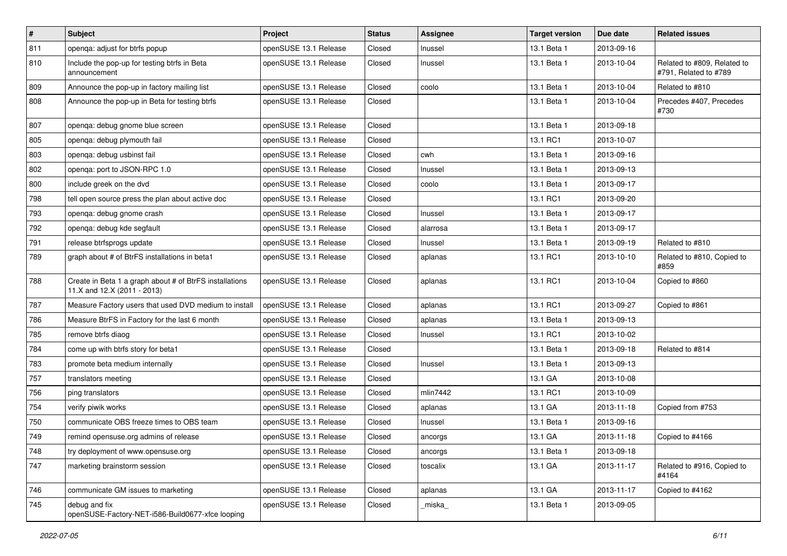| $\vert$ # | <b>Subject</b>                                                                         | Project               | <b>Status</b> | <b>Assignee</b> | <b>Target version</b> | Due date   | <b>Related issues</b>                                |
|-----------|----------------------------------------------------------------------------------------|-----------------------|---------------|-----------------|-----------------------|------------|------------------------------------------------------|
| 811       | openqa: adjust for btrfs popup                                                         | openSUSE 13.1 Release | Closed        | Inussel         | 13.1 Beta 1           | 2013-09-16 |                                                      |
| 810       | Include the pop-up for testing btrfs in Beta<br>announcement                           | openSUSE 13.1 Release | Closed        | Inussel         | 13.1 Beta 1           | 2013-10-04 | Related to #809, Related to<br>#791, Related to #789 |
| 809       | Announce the pop-up in factory mailing list                                            | openSUSE 13.1 Release | Closed        | coolo           | 13.1 Beta 1           | 2013-10-04 | Related to #810                                      |
| 808       | Announce the pop-up in Beta for testing btrfs                                          | openSUSE 13.1 Release | Closed        |                 | 13.1 Beta 1           | 2013-10-04 | Precedes #407, Precedes<br>#730                      |
| 807       | openqa: debug gnome blue screen                                                        | openSUSE 13.1 Release | Closed        |                 | 13.1 Beta 1           | 2013-09-18 |                                                      |
| 805       | openqa: debug plymouth fail                                                            | openSUSE 13.1 Release | Closed        |                 | 13.1 RC1              | 2013-10-07 |                                                      |
| 803       | openqa: debug usbinst fail                                                             | openSUSE 13.1 Release | Closed        | cwh             | 13.1 Beta 1           | 2013-09-16 |                                                      |
| 802       | openga: port to JSON-RPC 1.0                                                           | openSUSE 13.1 Release | Closed        | Inussel         | 13.1 Beta 1           | 2013-09-13 |                                                      |
| 800       | include greek on the dvd                                                               | openSUSE 13.1 Release | Closed        | coolo           | 13.1 Beta 1           | 2013-09-17 |                                                      |
| 798       | tell open source press the plan about active doc                                       | openSUSE 13.1 Release | Closed        |                 | 13.1 RC1              | 2013-09-20 |                                                      |
| 793       | openqa: debug gnome crash                                                              | openSUSE 13.1 Release | Closed        | Inussel         | 13.1 Beta 1           | 2013-09-17 |                                                      |
| 792       | openqa: debug kde segfault                                                             | openSUSE 13.1 Release | Closed        | alarrosa        | 13.1 Beta 1           | 2013-09-17 |                                                      |
| 791       | release btrfsprogs update                                                              | openSUSE 13.1 Release | Closed        | Inussel         | 13.1 Beta 1           | 2013-09-19 | Related to #810                                      |
| 789       | graph about # of BtrFS installations in beta1                                          | openSUSE 13.1 Release | Closed        | aplanas         | 13.1 RC1              | 2013-10-10 | Related to #810, Copied to<br>#859                   |
| 788       | Create in Beta 1 a graph about # of BtrFS installations<br>11.X and 12.X (2011 - 2013) | openSUSE 13.1 Release | Closed        | aplanas         | 13.1 RC1              | 2013-10-04 | Copied to #860                                       |
| 787       | Measure Factory users that used DVD medium to install                                  | openSUSE 13.1 Release | Closed        | aplanas         | 13.1 RC1              | 2013-09-27 | Copied to #861                                       |
| 786       | Measure BtrFS in Factory for the last 6 month                                          | openSUSE 13.1 Release | Closed        | aplanas         | 13.1 Beta 1           | 2013-09-13 |                                                      |
| 785       | remove btrfs diaog                                                                     | openSUSE 13.1 Release | Closed        | Inussel         | 13.1 RC1              | 2013-10-02 |                                                      |
| 784       | come up with btrfs story for beta1                                                     | openSUSE 13.1 Release | Closed        |                 | 13.1 Beta 1           | 2013-09-18 | Related to #814                                      |
| 783       | promote beta medium internally                                                         | openSUSE 13.1 Release | Closed        | Inussel         | 13.1 Beta 1           | 2013-09-13 |                                                      |
| 757       | translators meeting                                                                    | openSUSE 13.1 Release | Closed        |                 | 13.1 GA               | 2013-10-08 |                                                      |
| 756       | ping translators                                                                       | openSUSE 13.1 Release | Closed        | mlin7442        | 13.1 RC1              | 2013-10-09 |                                                      |
| 754       | verify piwik works                                                                     | openSUSE 13.1 Release | Closed        | aplanas         | 13.1 GA               | 2013-11-18 | Copied from #753                                     |
| 750       | communicate OBS freeze times to OBS team                                               | openSUSE 13.1 Release | Closed        | Inussel         | 13.1 Beta 1           | 2013-09-16 |                                                      |
| 749       | remind opensuse.org admins of release                                                  | openSUSE 13.1 Release | Closed        | ancorgs         | 13.1 GA               | 2013-11-18 | Copied to #4166                                      |
| 748       | try deployment of www.opensuse.org                                                     | openSUSE 13.1 Release | Closed        | ancorgs         | 13.1 Beta 1           | 2013-09-18 |                                                      |
| 747       | marketing brainstorm session                                                           | openSUSE 13.1 Release | Closed        | toscalix        | 13.1 GA               | 2013-11-17 | Related to #916, Copied to<br>#4164                  |
| 746       | communicate GM issues to marketing                                                     | openSUSE 13.1 Release | Closed        | aplanas         | 13.1 GA               | 2013-11-17 | Copied to #4162                                      |
| 745       | debug and fix<br>openSUSE-Factory-NET-i586-Build0677-xfce looping                      | openSUSE 13.1 Release | Closed        | _miska_         | 13.1 Beta 1           | 2013-09-05 |                                                      |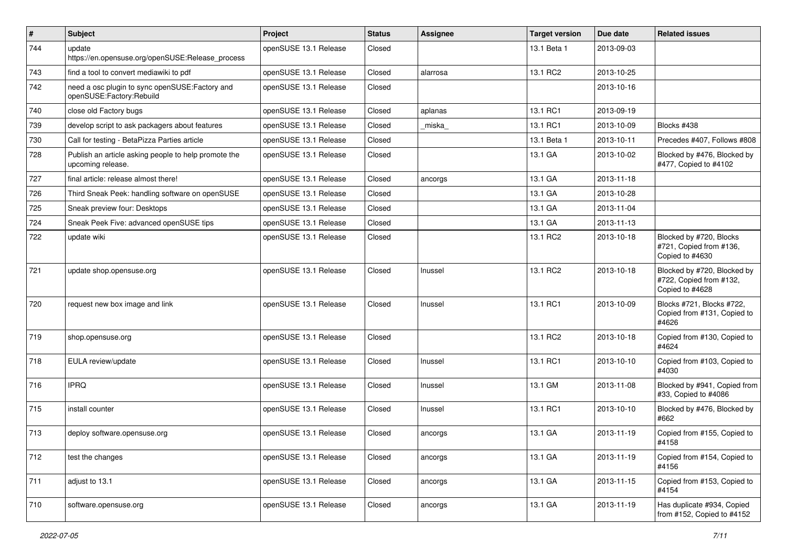| $\sharp$ | <b>Subject</b>                                                             | Project               | <b>Status</b> | <b>Assignee</b> | <b>Target version</b> | Due date   | <b>Related issues</b>                                                     |
|----------|----------------------------------------------------------------------------|-----------------------|---------------|-----------------|-----------------------|------------|---------------------------------------------------------------------------|
| 744      | update<br>https://en.opensuse.org/openSUSE:Release_process                 | openSUSE 13.1 Release | Closed        |                 | 13.1 Beta 1           | 2013-09-03 |                                                                           |
| 743      | find a tool to convert mediawiki to pdf                                    | openSUSE 13.1 Release | Closed        | alarrosa        | 13.1 RC2              | 2013-10-25 |                                                                           |
| 742      | need a osc plugin to sync openSUSE:Factory and<br>openSUSE:Factory:Rebuild | openSUSE 13.1 Release | Closed        |                 |                       | 2013-10-16 |                                                                           |
| 740      | close old Factory bugs                                                     | openSUSE 13.1 Release | Closed        | aplanas         | 13.1 RC1              | 2013-09-19 |                                                                           |
| 739      | develop script to ask packagers about features                             | openSUSE 13.1 Release | Closed        | miska           | 13.1 RC1              | 2013-10-09 | Blocks #438                                                               |
| 730      | Call for testing - BetaPizza Parties article                               | openSUSE 13.1 Release | Closed        |                 | 13.1 Beta 1           | 2013-10-11 | Precedes #407, Follows #808                                               |
| 728      | Publish an article asking people to help promote the<br>upcoming release.  | openSUSE 13.1 Release | Closed        |                 | 13.1 GA               | 2013-10-02 | Blocked by #476, Blocked by<br>#477, Copied to #4102                      |
| 727      | final article: release almost there!                                       | openSUSE 13.1 Release | Closed        | ancorgs         | 13.1 GA               | 2013-11-18 |                                                                           |
| 726      | Third Sneak Peek: handling software on openSUSE                            | openSUSE 13.1 Release | Closed        |                 | 13.1 GA               | 2013-10-28 |                                                                           |
| 725      | Sneak preview four: Desktops                                               | openSUSE 13.1 Release | Closed        |                 | 13.1 GA               | 2013-11-04 |                                                                           |
| 724      | Sneak Peek Five: advanced openSUSE tips                                    | openSUSE 13.1 Release | Closed        |                 | 13.1 GA               | 2013-11-13 |                                                                           |
| 722      | update wiki                                                                | openSUSE 13.1 Release | Closed        |                 | 13.1 RC2              | 2013-10-18 | Blocked by #720, Blocks<br>#721, Copied from #136,<br>Copied to #4630     |
| 721      | update shop.opensuse.org                                                   | openSUSE 13.1 Release | Closed        | Inussel         | 13.1 RC2              | 2013-10-18 | Blocked by #720, Blocked by<br>#722, Copied from #132,<br>Copied to #4628 |
| 720      | request new box image and link                                             | openSUSE 13.1 Release | Closed        | Inussel         | 13.1 RC1              | 2013-10-09 | Blocks #721, Blocks #722,<br>Copied from #131, Copied to<br>#4626         |
| 719      | shop.opensuse.org                                                          | openSUSE 13.1 Release | Closed        |                 | 13.1 RC2              | 2013-10-18 | Copied from #130, Copied to<br>#4624                                      |
| 718      | EULA review/update                                                         | openSUSE 13.1 Release | Closed        | Inussel         | 13.1 RC1              | 2013-10-10 | Copied from #103, Copied to<br>#4030                                      |
| 716      | <b>IPRQ</b>                                                                | openSUSE 13.1 Release | Closed        | Inussel         | 13.1 GM               | 2013-11-08 | Blocked by #941, Copied from<br>#33, Copied to #4086                      |
| 715      | install counter                                                            | openSUSE 13.1 Release | Closed        | Inussel         | 13.1 RC1              | 2013-10-10 | Blocked by #476, Blocked by<br>#662                                       |
| 713      | deploy software.opensuse.org                                               | openSUSE 13.1 Release | Closed        | ancorgs         | 13.1 GA               | 2013-11-19 | Copied from #155, Copied to<br>#4158                                      |
| 712      | test the changes                                                           | openSUSE 13.1 Release | Closed        | ancorgs         | 13.1 GA               | 2013-11-19 | Copied from #154, Copied to<br>#4156                                      |
| 711      | adjust to 13.1                                                             | openSUSE 13.1 Release | Closed        | ancorgs         | 13.1 GA               | 2013-11-15 | Copied from #153, Copied to<br>#4154                                      |
| 710      | software.opensuse.org                                                      | openSUSE 13.1 Release | Closed        | ancorgs         | 13.1 GA               | 2013-11-19 | Has duplicate #934, Copied<br>from #152, Copied to #4152                  |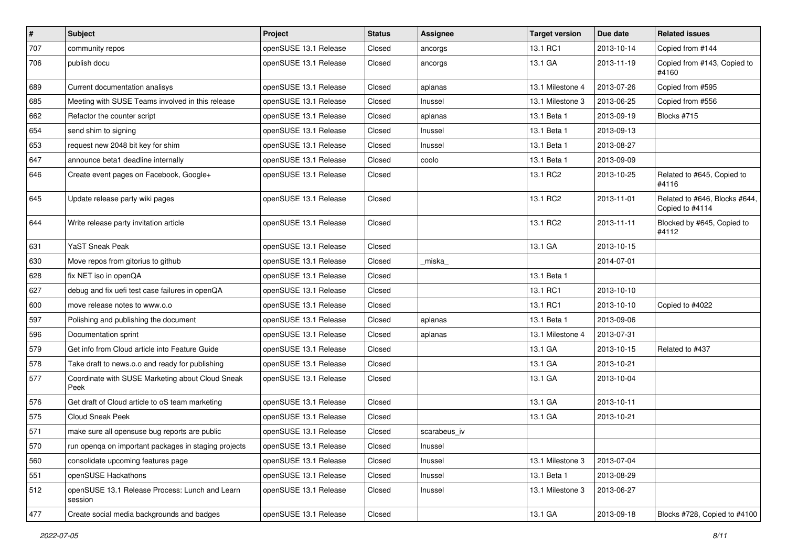| $\vert$ # | Subject                                                   | Project               | <b>Status</b> | Assignee     | Target version   | Due date   | <b>Related issues</b>                            |
|-----------|-----------------------------------------------------------|-----------------------|---------------|--------------|------------------|------------|--------------------------------------------------|
| 707       | community repos                                           | openSUSE 13.1 Release | Closed        | ancorgs      | 13.1 RC1         | 2013-10-14 | Copied from #144                                 |
| 706       | publish docu                                              | openSUSE 13.1 Release | Closed        | ancorgs      | 13.1 GA          | 2013-11-19 | Copied from #143, Copied to<br>#4160             |
| 689       | Current documentation analisys                            | openSUSE 13.1 Release | Closed        | aplanas      | 13.1 Milestone 4 | 2013-07-26 | Copied from #595                                 |
| 685       | Meeting with SUSE Teams involved in this release          | openSUSE 13.1 Release | Closed        | Inussel      | 13.1 Milestone 3 | 2013-06-25 | Copied from #556                                 |
| 662       | Refactor the counter script                               | openSUSE 13.1 Release | Closed        | aplanas      | 13.1 Beta 1      | 2013-09-19 | Blocks #715                                      |
| 654       | send shim to signing                                      | openSUSE 13.1 Release | Closed        | Inussel      | 13.1 Beta 1      | 2013-09-13 |                                                  |
| 653       | request new 2048 bit key for shim                         | openSUSE 13.1 Release | Closed        | Inussel      | 13.1 Beta 1      | 2013-08-27 |                                                  |
| 647       | announce beta1 deadline internally                        | openSUSE 13.1 Release | Closed        | coolo        | 13.1 Beta 1      | 2013-09-09 |                                                  |
| 646       | Create event pages on Facebook, Google+                   | openSUSE 13.1 Release | Closed        |              | 13.1 RC2         | 2013-10-25 | Related to #645, Copied to<br>#4116              |
| 645       | Update release party wiki pages                           | openSUSE 13.1 Release | Closed        |              | 13.1 RC2         | 2013-11-01 | Related to #646, Blocks #644,<br>Copied to #4114 |
| 644       | Write release party invitation article                    | openSUSE 13.1 Release | Closed        |              | 13.1 RC2         | 2013-11-11 | Blocked by #645, Copied to<br>#4112              |
| 631       | YaST Sneak Peak                                           | openSUSE 13.1 Release | Closed        |              | 13.1 GA          | 2013-10-15 |                                                  |
| 630       | Move repos from gitorius to github                        | openSUSE 13.1 Release | Closed        | _miska_      |                  | 2014-07-01 |                                                  |
| 628       | fix NET iso in openQA                                     | openSUSE 13.1 Release | Closed        |              | 13.1 Beta 1      |            |                                                  |
| 627       | debug and fix uefi test case failures in openQA           | openSUSE 13.1 Release | Closed        |              | 13.1 RC1         | 2013-10-10 |                                                  |
| 600       | move release notes to www.o.o                             | openSUSE 13.1 Release | Closed        |              | 13.1 RC1         | 2013-10-10 | Copied to #4022                                  |
| 597       | Polishing and publishing the document                     | openSUSE 13.1 Release | Closed        | aplanas      | 13.1 Beta 1      | 2013-09-06 |                                                  |
| 596       | Documentation sprint                                      | openSUSE 13.1 Release | Closed        | aplanas      | 13.1 Milestone 4 | 2013-07-31 |                                                  |
| 579       | Get info from Cloud article into Feature Guide            | openSUSE 13.1 Release | Closed        |              | 13.1 GA          | 2013-10-15 | Related to #437                                  |
| 578       | Take draft to news.o.o and ready for publishing           | openSUSE 13.1 Release | Closed        |              | 13.1 GA          | 2013-10-21 |                                                  |
| 577       | Coordinate with SUSE Marketing about Cloud Sneak<br>Peek  | openSUSE 13.1 Release | Closed        |              | 13.1 GA          | 2013-10-04 |                                                  |
| 576       | Get draft of Cloud article to oS team marketing           | openSUSE 13.1 Release | Closed        |              | 13.1 GA          | 2013-10-11 |                                                  |
| 575       | <b>Cloud Sneak Peek</b>                                   | openSUSE 13.1 Release | Closed        |              | 13.1 GA          | 2013-10-21 |                                                  |
| 571       | make sure all opensuse bug reports are public             | openSUSE 13.1 Release | Closed        | scarabeus iv |                  |            |                                                  |
| 570       | run openga on important packages in staging projects      | openSUSE 13.1 Release | Closed        | Inussel      |                  |            |                                                  |
| 560       | consolidate upcoming features page                        | openSUSE 13.1 Release | Closed        | Inussel      | 13.1 Milestone 3 | 2013-07-04 |                                                  |
| 551       | openSUSE Hackathons                                       | openSUSE 13.1 Release | Closed        | Inussel      | 13.1 Beta 1      | 2013-08-29 |                                                  |
| 512       | openSUSE 13.1 Release Process: Lunch and Learn<br>session | openSUSE 13.1 Release | Closed        | Inussel      | 13.1 Milestone 3 | 2013-06-27 |                                                  |
| 477       | Create social media backgrounds and badges                | openSUSE 13.1 Release | Closed        |              | 13.1 GA          | 2013-09-18 | Blocks #728, Copied to #4100                     |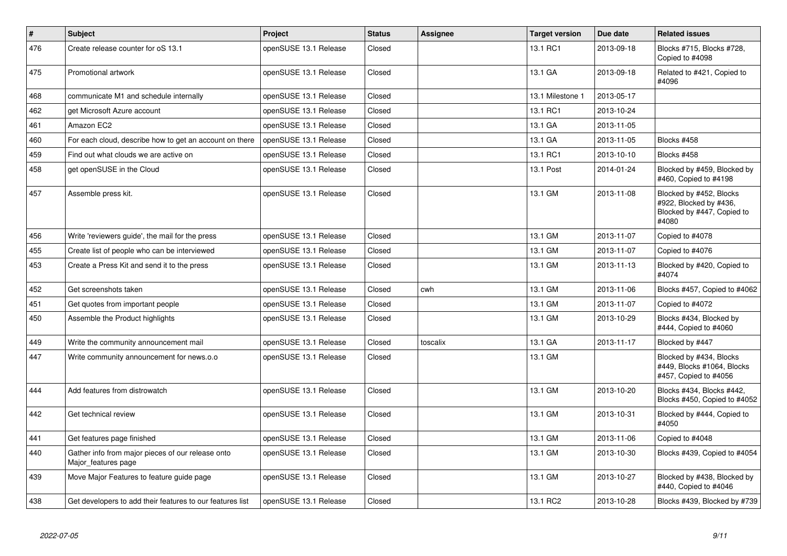| $\vert$ # | <b>Subject</b>                                                           | Project               | <b>Status</b> | Assignee | <b>Target version</b> | Due date   | <b>Related issues</b>                                                                    |
|-----------|--------------------------------------------------------------------------|-----------------------|---------------|----------|-----------------------|------------|------------------------------------------------------------------------------------------|
| 476       | Create release counter for oS 13.1                                       | openSUSE 13.1 Release | Closed        |          | 13.1 RC1              | 2013-09-18 | Blocks #715, Blocks #728,<br>Copied to #4098                                             |
| 475       | Promotional artwork                                                      | openSUSE 13.1 Release | Closed        |          | 13.1 GA               | 2013-09-18 | Related to #421, Copied to<br>#4096                                                      |
| 468       | communicate M1 and schedule internally                                   | openSUSE 13.1 Release | Closed        |          | 13.1 Milestone 1      | 2013-05-17 |                                                                                          |
| 462       | get Microsoft Azure account                                              | openSUSE 13.1 Release | Closed        |          | 13.1 RC1              | 2013-10-24 |                                                                                          |
| 461       | Amazon EC2                                                               | openSUSE 13.1 Release | Closed        |          | 13.1 GA               | 2013-11-05 |                                                                                          |
| 460       | For each cloud, describe how to get an account on there                  | openSUSE 13.1 Release | Closed        |          | 13.1 GA               | 2013-11-05 | Blocks #458                                                                              |
| 459       | Find out what clouds we are active on                                    | openSUSE 13.1 Release | Closed        |          | 13.1 RC1              | 2013-10-10 | Blocks #458                                                                              |
| 458       | get openSUSE in the Cloud                                                | openSUSE 13.1 Release | Closed        |          | 13.1 Post             | 2014-01-24 | Blocked by #459, Blocked by<br>#460, Copied to #4198                                     |
| 457       | Assemble press kit.                                                      | openSUSE 13.1 Release | Closed        |          | 13.1 GM               | 2013-11-08 | Blocked by #452, Blocks<br>#922, Blocked by #436,<br>Blocked by #447, Copied to<br>#4080 |
| 456       | Write 'reviewers guide', the mail for the press                          | openSUSE 13.1 Release | Closed        |          | 13.1 GM               | 2013-11-07 | Copied to #4078                                                                          |
| 455       | Create list of people who can be interviewed                             | openSUSE 13.1 Release | Closed        |          | 13.1 GM               | 2013-11-07 | Copied to #4076                                                                          |
| 453       | Create a Press Kit and send it to the press                              | openSUSE 13.1 Release | Closed        |          | 13.1 GM               | 2013-11-13 | Blocked by #420, Copied to<br>#4074                                                      |
| 452       | Get screenshots taken                                                    | openSUSE 13.1 Release | Closed        | cwh      | 13.1 GM               | 2013-11-06 | Blocks #457, Copied to #4062                                                             |
| 451       | Get quotes from important people                                         | openSUSE 13.1 Release | Closed        |          | 13.1 GM               | 2013-11-07 | Copied to #4072                                                                          |
| 450       | Assemble the Product highlights                                          | openSUSE 13.1 Release | Closed        |          | 13.1 GM               | 2013-10-29 | Blocks #434, Blocked by<br>#444, Copied to #4060                                         |
| 449       | Write the community announcement mail                                    | openSUSE 13.1 Release | Closed        | toscalix | 13.1 GA               | 2013-11-17 | Blocked by #447                                                                          |
| 447       | Write community announcement for news.o.o                                | openSUSE 13.1 Release | Closed        |          | 13.1 GM               |            | Blocked by #434, Blocks<br>#449, Blocks #1064, Blocks<br>#457, Copied to #4056           |
| 444       | Add features from distrowatch                                            | openSUSE 13.1 Release | Closed        |          | 13.1 GM               | 2013-10-20 | Blocks #434, Blocks #442,<br>Blocks #450, Copied to #4052                                |
| 442       | Get technical review                                                     | openSUSE 13.1 Release | Closed        |          | 13.1 GM               | 2013-10-31 | Blocked by #444, Copied to<br>#4050                                                      |
| 441       | Get features page finished                                               | openSUSE 13.1 Release | Closed        |          | 13.1 GM               | 2013-11-06 | Copied to #4048                                                                          |
| 440       | Gather info from major pieces of our release onto<br>Major_features page | openSUSE 13.1 Release | Closed        |          | 13.1 GM               | 2013-10-30 | Blocks #439, Copied to #4054                                                             |
| 439       | Move Major Features to feature guide page                                | openSUSE 13.1 Release | Closed        |          | 13.1 GM               | 2013-10-27 | Blocked by #438, Blocked by<br>#440, Copied to #4046                                     |
| 438       | Get developers to add their features to our features list                | openSUSE 13.1 Release | Closed        |          | 13.1 RC2              | 2013-10-28 | Blocks #439, Blocked by #739                                                             |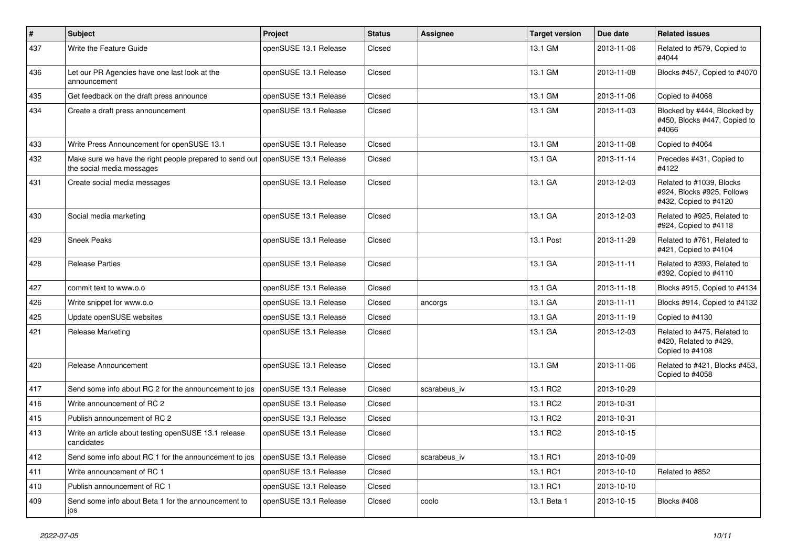| #   | <b>Subject</b>                                                                                               | Project               | <b>Status</b> | <b>Assignee</b> | <b>Target version</b> | Due date   | <b>Related issues</b>                                                           |
|-----|--------------------------------------------------------------------------------------------------------------|-----------------------|---------------|-----------------|-----------------------|------------|---------------------------------------------------------------------------------|
| 437 | Write the Feature Guide                                                                                      | openSUSE 13.1 Release | Closed        |                 | 13.1 GM               | 2013-11-06 | Related to #579, Copied to<br>#4044                                             |
| 436 | Let our PR Agencies have one last look at the<br>announcement                                                | openSUSE 13.1 Release | Closed        |                 | 13.1 GM               | 2013-11-08 | Blocks #457, Copied to #4070                                                    |
| 435 | Get feedback on the draft press announce                                                                     | openSUSE 13.1 Release | Closed        |                 | 13.1 GM               | 2013-11-06 | Copied to #4068                                                                 |
| 434 | Create a draft press announcement                                                                            | openSUSE 13.1 Release | Closed        |                 | 13.1 GM               | 2013-11-03 | Blocked by #444, Blocked by<br>#450, Blocks #447, Copied to<br>#4066            |
| 433 | Write Press Announcement for openSUSE 13.1                                                                   | openSUSE 13.1 Release | Closed        |                 | 13.1 GM               | 2013-11-08 | Copied to #4064                                                                 |
| 432 | Make sure we have the right people prepared to send out   openSUSE 13.1 Release<br>the social media messages |                       | Closed        |                 | 13.1 GA               | 2013-11-14 | Precedes #431, Copied to<br>#4122                                               |
| 431 | Create social media messages                                                                                 | openSUSE 13.1 Release | Closed        |                 | 13.1 GA               | 2013-12-03 | Related to #1039, Blocks<br>#924, Blocks #925, Follows<br>#432, Copied to #4120 |
| 430 | Social media marketing                                                                                       | openSUSE 13.1 Release | Closed        |                 | 13.1 GA               | 2013-12-03 | Related to #925, Related to<br>#924, Copied to #4118                            |
| 429 | <b>Sneek Peaks</b>                                                                                           | openSUSE 13.1 Release | Closed        |                 | 13.1 Post             | 2013-11-29 | Related to #761. Related to<br>#421, Copied to #4104                            |
| 428 | <b>Release Parties</b>                                                                                       | openSUSE 13.1 Release | Closed        |                 | 13.1 GA               | 2013-11-11 | Related to #393. Related to<br>#392, Copied to #4110                            |
| 427 | commit text to www.o.o                                                                                       | openSUSE 13.1 Release | Closed        |                 | 13.1 GA               | 2013-11-18 | Blocks #915, Copied to #4134                                                    |
| 426 | Write snippet for www.o.o                                                                                    | openSUSE 13.1 Release | Closed        | ancorgs         | 13.1 GA               | 2013-11-11 | Blocks #914, Copied to #4132                                                    |
| 425 | Update openSUSE websites                                                                                     | openSUSE 13.1 Release | Closed        |                 | 13.1 GA               | 2013-11-19 | Copied to #4130                                                                 |
| 421 | <b>Release Marketing</b>                                                                                     | openSUSE 13.1 Release | Closed        |                 | 13.1 GA               | 2013-12-03 | Related to #475, Related to<br>#420, Related to #429,<br>Copied to #4108        |
| 420 | Release Announcement                                                                                         | openSUSE 13.1 Release | Closed        |                 | 13.1 GM               | 2013-11-06 | Related to #421, Blocks #453,<br>Copied to #4058                                |
| 417 | Send some info about RC 2 for the announcement to jos                                                        | openSUSE 13.1 Release | Closed        | scarabeus iv    | 13.1 RC2              | 2013-10-29 |                                                                                 |
| 416 | Write announcement of RC 2                                                                                   | openSUSE 13.1 Release | Closed        |                 | 13.1 RC2              | 2013-10-31 |                                                                                 |
| 415 | Publish announcement of RC 2                                                                                 | openSUSE 13.1 Release | Closed        |                 | 13.1 RC2              | 2013-10-31 |                                                                                 |
| 413 | Write an article about testing openSUSE 13.1 release<br>candidates                                           | openSUSE 13.1 Release | Closed        |                 | 13.1 RC2              | 2013-10-15 |                                                                                 |
| 412 | Send some info about RC 1 for the announcement to jos                                                        | openSUSE 13.1 Release | Closed        | scarabeus iv    | 13.1 RC1              | 2013-10-09 |                                                                                 |
| 411 | Write announcement of RC 1                                                                                   | openSUSE 13.1 Release | Closed        |                 | 13.1 RC1              | 2013-10-10 | Related to #852                                                                 |
| 410 | Publish announcement of RC 1                                                                                 | openSUSE 13.1 Release | Closed        |                 | 13.1 RC1              | 2013-10-10 |                                                                                 |
| 409 | Send some info about Beta 1 for the announcement to<br>jos                                                   | openSUSE 13.1 Release | Closed        | coolo           | 13.1 Beta 1           | 2013-10-15 | Blocks #408                                                                     |